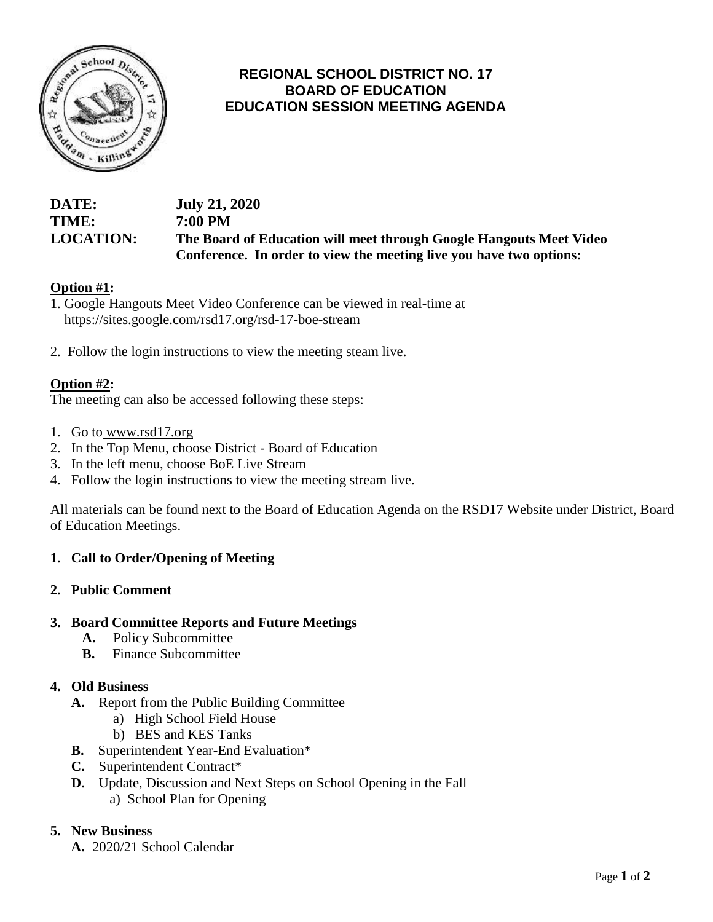

# **REGIONAL SCHOOL DISTRICT NO. 17 BOARD OF EDUCATION EDUCATION SESSION MEETING AGENDA**

# **DATE: July 21, 2020 TIME: 7:00 PM LOCATION: The Board of Education will meet through Google Hangouts Meet Video Conference. In order to view the meeting live you have two options:**

## **Option #1:**

1. Google Hangouts Meet Video Conference can be viewed in real-time at <https://sites.google.com/rsd17.org/rsd-17-boe-stream>

2. Follow the login instructions to view the meeting steam live.

## **Option #2:**

The meeting can also be accessed following these steps:

- 1. Go to [www.rsd17.org](http://www.rsd17.org/)
- 2. In the Top Menu, choose District Board of Education
- 3. In the left menu, choose BoE Live Stream
- 4. Follow the login instructions to view the meeting stream live.

All materials can be found next to the Board of Education Agenda on the RSD17 Website under District, Board of Education Meetings.

## **1. Call to Order/Opening of Meeting**

#### **2. Public Comment**

#### **3. Board Committee Reports and Future Meetings**

- **A.** Policy Subcommittee
- **B.** Finance Subcommittee

## **4. Old Business**

- **A.** Report from the Public Building Committee
	- a) High School Field House
	- b) BES and KES Tanks
- **B.** Superintendent Year-End Evaluation\*
- **C.** Superintendent Contract\*
- **D.** Update, Discussion and Next Steps on School Opening in the Fall a) School Plan for Opening

#### **5. New Business**

**A.** 2020/21 School Calendar